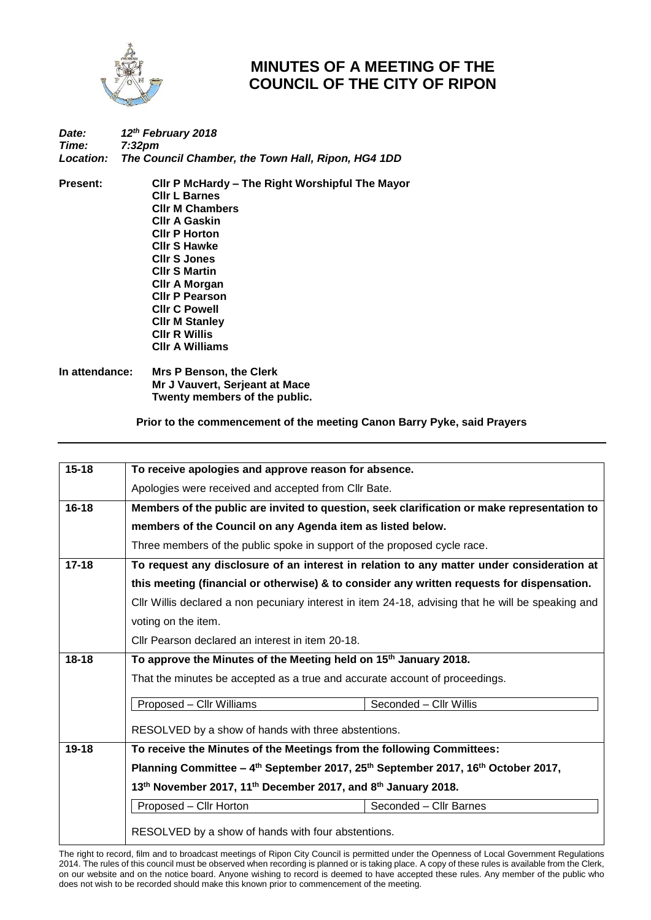

## **MINUTES OF A MEETING OF THE COUNCIL OF THE CITY OF RIPON**

## *Date: 12th February 2018 Time: 7:32pm Location: The Council Chamber, the Town Hall, Ripon, HG4 1DD*

**Present: Cllr P McHardy – The Right Worshipful The Mayor Cllr L Barnes Cllr M Chambers Cllr A Gaskin Cllr P Horton Cllr S Hawke Cllr S Jones Cllr S Martin Cllr A Morgan Cllr P Pearson Cllr C Powell Cllr M Stanley Cllr R Willis Cllr A Williams**

**In attendance: Mrs P Benson, the Clerk Mr J Vauvert, Serjeant at Mace Twenty members of the public.**

**Prior to the commencement of the meeting Canon Barry Pyke, said Prayers**

| $15 - 18$                                           | To receive apologies and approve reason for absence.                                                                                                      |                        |  |
|-----------------------------------------------------|-----------------------------------------------------------------------------------------------------------------------------------------------------------|------------------------|--|
|                                                     | Apologies were received and accepted from Cllr Bate.                                                                                                      |                        |  |
| $16 - 18$                                           | Members of the public are invited to question, seek clarification or make representation to<br>members of the Council on any Agenda item as listed below. |                        |  |
|                                                     |                                                                                                                                                           |                        |  |
|                                                     | Three members of the public spoke in support of the proposed cycle race.                                                                                  |                        |  |
| $17 - 18$                                           | To request any disclosure of an interest in relation to any matter under consideration at                                                                 |                        |  |
|                                                     | this meeting (financial or otherwise) & to consider any written requests for dispensation.                                                                |                        |  |
|                                                     | CIIr Willis declared a non pecuniary interest in item 24-18, advising that he will be speaking and                                                        |                        |  |
|                                                     | voting on the item.                                                                                                                                       |                        |  |
|                                                     | Cllr Pearson declared an interest in item 20-18.                                                                                                          |                        |  |
| $18 - 18$                                           | To approve the Minutes of the Meeting held on 15 <sup>th</sup> January 2018.                                                                              |                        |  |
|                                                     | That the minutes be accepted as a true and accurate account of proceedings.                                                                               |                        |  |
|                                                     | Proposed - Cllr Williams                                                                                                                                  | Seconded - Cllr Willis |  |
| RESOLVED by a show of hands with three abstentions. |                                                                                                                                                           |                        |  |
| $19 - 18$                                           | To receive the Minutes of the Meetings from the following Committees:                                                                                     |                        |  |
|                                                     | Planning Committee – 4 <sup>th</sup> September 2017, 25 <sup>th</sup> September 2017, 16 <sup>th</sup> October 2017,                                      |                        |  |
|                                                     | 13 <sup>th</sup> November 2017, 11 <sup>th</sup> December 2017, and 8 <sup>th</sup> January 2018.                                                         |                        |  |
|                                                     | Proposed - Cllr Horton                                                                                                                                    | Seconded - Cllr Barnes |  |
| RESOLVED by a show of hands with four abstentions.  |                                                                                                                                                           |                        |  |

The right to record, film and to broadcast meetings of Ripon City Council is permitted under the Openness of Local Government Regulations 2014. The rules of this council must be observed when recording is planned or is taking place. A copy of these rules is available from the Clerk, on our website and on the notice board. Anyone wishing to record is deemed to have accepted these rules. Any member of the public who does not wish to be recorded should make this known prior to commencement of the meeting.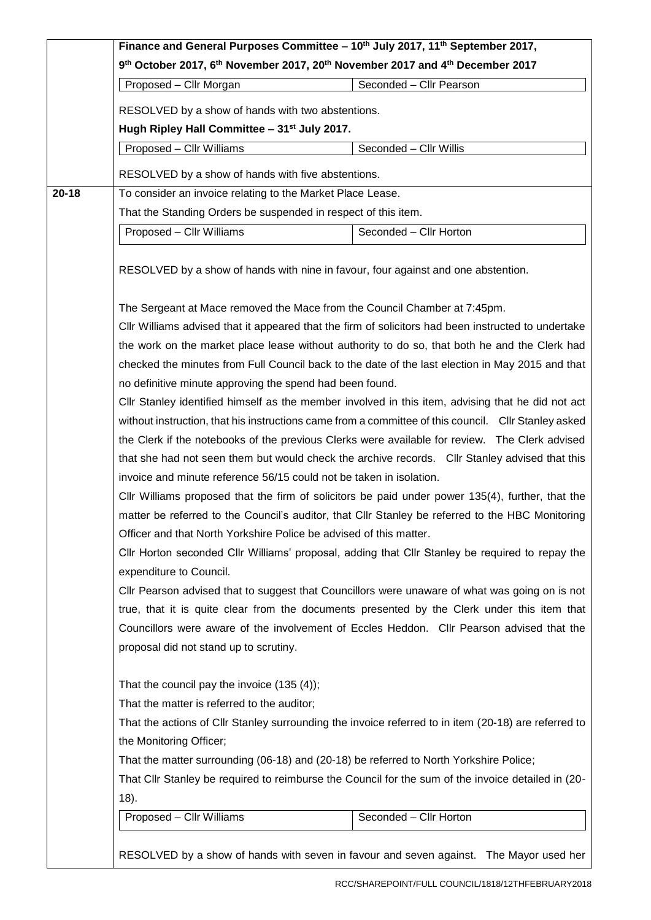|           | Finance and General Purposes Committee - 10 <sup>th</sup> July 2017, 11 <sup>th</sup> September 2017,<br>9th October 2017, 6th November 2017, 20th November 2017 and 4th December 2017                                                                                                                                                                                                                                                                                     |                                                                                                      |  |  |
|-----------|----------------------------------------------------------------------------------------------------------------------------------------------------------------------------------------------------------------------------------------------------------------------------------------------------------------------------------------------------------------------------------------------------------------------------------------------------------------------------|------------------------------------------------------------------------------------------------------|--|--|
|           |                                                                                                                                                                                                                                                                                                                                                                                                                                                                            |                                                                                                      |  |  |
|           | Proposed - Cllr Morgan                                                                                                                                                                                                                                                                                                                                                                                                                                                     | Seconded - Cllr Pearson                                                                              |  |  |
|           | RESOLVED by a show of hands with two abstentions.                                                                                                                                                                                                                                                                                                                                                                                                                          |                                                                                                      |  |  |
|           | Hugh Ripley Hall Committee - 31 <sup>st</sup> July 2017.                                                                                                                                                                                                                                                                                                                                                                                                                   |                                                                                                      |  |  |
|           | Proposed - Cllr Williams                                                                                                                                                                                                                                                                                                                                                                                                                                                   | Seconded - Cllr Willis                                                                               |  |  |
|           |                                                                                                                                                                                                                                                                                                                                                                                                                                                                            |                                                                                                      |  |  |
| $20 - 18$ | RESOLVED by a show of hands with five abstentions.<br>To consider an invoice relating to the Market Place Lease.                                                                                                                                                                                                                                                                                                                                                           |                                                                                                      |  |  |
|           |                                                                                                                                                                                                                                                                                                                                                                                                                                                                            | That the Standing Orders be suspended in respect of this item.                                       |  |  |
|           | Proposed - Cllr Williams                                                                                                                                                                                                                                                                                                                                                                                                                                                   | Seconded - Cllr Horton                                                                               |  |  |
|           |                                                                                                                                                                                                                                                                                                                                                                                                                                                                            |                                                                                                      |  |  |
|           | RESOLVED by a show of hands with nine in favour, four against and one abstention.                                                                                                                                                                                                                                                                                                                                                                                          |                                                                                                      |  |  |
|           | The Sergeant at Mace removed the Mace from the Council Chamber at 7:45pm.                                                                                                                                                                                                                                                                                                                                                                                                  |                                                                                                      |  |  |
|           | CIIr Williams advised that it appeared that the firm of solicitors had been instructed to undertake                                                                                                                                                                                                                                                                                                                                                                        |                                                                                                      |  |  |
|           | the work on the market place lease without authority to do so, that both he and the Clerk had<br>checked the minutes from Full Council back to the date of the last election in May 2015 and that<br>no definitive minute approving the spend had been found.<br>CIIr Stanley identified himself as the member involved in this item, advising that he did not act<br>without instruction, that his instructions came from a committee of this council. Cllr Stanley asked |                                                                                                      |  |  |
|           |                                                                                                                                                                                                                                                                                                                                                                                                                                                                            |                                                                                                      |  |  |
|           |                                                                                                                                                                                                                                                                                                                                                                                                                                                                            |                                                                                                      |  |  |
|           |                                                                                                                                                                                                                                                                                                                                                                                                                                                                            |                                                                                                      |  |  |
|           |                                                                                                                                                                                                                                                                                                                                                                                                                                                                            |                                                                                                      |  |  |
|           |                                                                                                                                                                                                                                                                                                                                                                                                                                                                            | the Clerk if the notebooks of the previous Clerks were available for review. The Clerk advised       |  |  |
|           | that she had not seen them but would check the archive records. Cllr Stanley advised that this<br>invoice and minute reference 56/15 could not be taken in isolation.<br>CIIr Williams proposed that the firm of solicitors be paid under power 135(4), further, that the                                                                                                                                                                                                  |                                                                                                      |  |  |
|           |                                                                                                                                                                                                                                                                                                                                                                                                                                                                            |                                                                                                      |  |  |
|           |                                                                                                                                                                                                                                                                                                                                                                                                                                                                            |                                                                                                      |  |  |
|           | matter be referred to the Council's auditor, that Cllr Stanley be referred to the HBC Monitoring                                                                                                                                                                                                                                                                                                                                                                           |                                                                                                      |  |  |
|           | Officer and that North Yorkshire Police be advised of this matter.                                                                                                                                                                                                                                                                                                                                                                                                         |                                                                                                      |  |  |
|           | Cllr Horton seconded Cllr Williams' proposal, adding that Cllr Stanley be required to repay the                                                                                                                                                                                                                                                                                                                                                                            |                                                                                                      |  |  |
|           | expenditure to Council.                                                                                                                                                                                                                                                                                                                                                                                                                                                    |                                                                                                      |  |  |
|           | CIIr Pearson advised that to suggest that Councillors were unaware of what was going on is not<br>true, that it is quite clear from the documents presented by the Clerk under this item that<br>Councillors were aware of the involvement of Eccles Heddon. Cllr Pearson advised that the<br>proposal did not stand up to scrutiny.                                                                                                                                       |                                                                                                      |  |  |
|           |                                                                                                                                                                                                                                                                                                                                                                                                                                                                            |                                                                                                      |  |  |
|           |                                                                                                                                                                                                                                                                                                                                                                                                                                                                            |                                                                                                      |  |  |
|           |                                                                                                                                                                                                                                                                                                                                                                                                                                                                            |                                                                                                      |  |  |
|           | That the council pay the invoice $(135 (4))$ ;                                                                                                                                                                                                                                                                                                                                                                                                                             |                                                                                                      |  |  |
|           | That the matter is referred to the auditor;                                                                                                                                                                                                                                                                                                                                                                                                                                |                                                                                                      |  |  |
|           |                                                                                                                                                                                                                                                                                                                                                                                                                                                                            | That the actions of Cllr Stanley surrounding the invoice referred to in item (20-18) are referred to |  |  |
|           | the Monitoring Officer;                                                                                                                                                                                                                                                                                                                                                                                                                                                    |                                                                                                      |  |  |
|           | That the matter surrounding (06-18) and (20-18) be referred to North Yorkshire Police;                                                                                                                                                                                                                                                                                                                                                                                     |                                                                                                      |  |  |
|           |                                                                                                                                                                                                                                                                                                                                                                                                                                                                            | That Cllr Stanley be required to reimburse the Council for the sum of the invoice detailed in (20-   |  |  |
|           | $(18)$ .                                                                                                                                                                                                                                                                                                                                                                                                                                                                   |                                                                                                      |  |  |
|           | Proposed - Cllr Williams                                                                                                                                                                                                                                                                                                                                                                                                                                                   | Seconded - Cllr Horton                                                                               |  |  |
|           |                                                                                                                                                                                                                                                                                                                                                                                                                                                                            |                                                                                                      |  |  |
|           |                                                                                                                                                                                                                                                                                                                                                                                                                                                                            | RESOLVED by a show of hands with seven in favour and seven against. The Mayor used her               |  |  |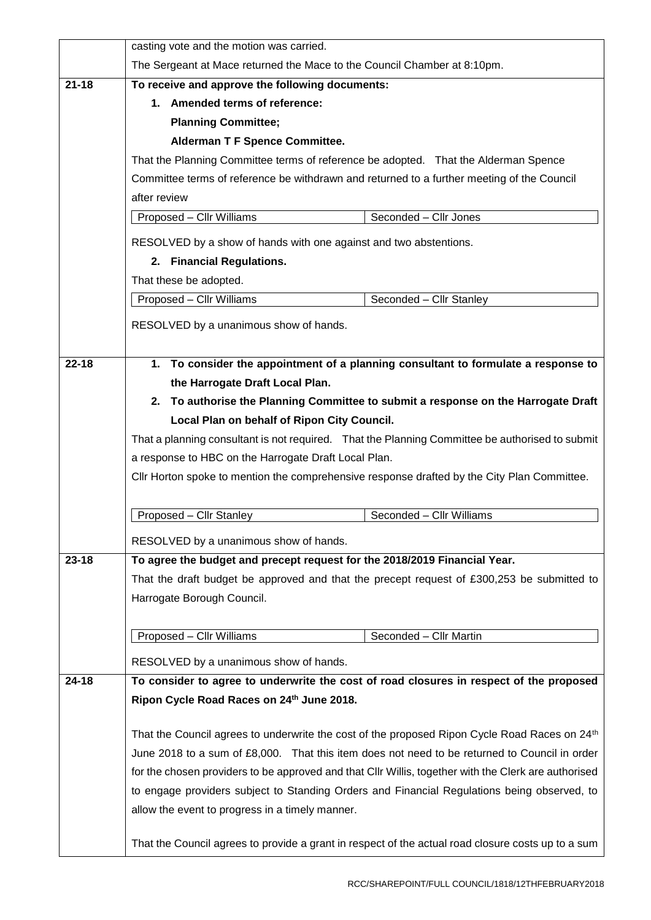|           | casting vote and the motion was carried.                                                                                                                                                                                                                                                              |  |  |
|-----------|-------------------------------------------------------------------------------------------------------------------------------------------------------------------------------------------------------------------------------------------------------------------------------------------------------|--|--|
|           | The Sergeant at Mace returned the Mace to the Council Chamber at 8:10pm.                                                                                                                                                                                                                              |  |  |
| $21 - 18$ | To receive and approve the following documents:                                                                                                                                                                                                                                                       |  |  |
|           | 1. Amended terms of reference:                                                                                                                                                                                                                                                                        |  |  |
|           | <b>Planning Committee;</b>                                                                                                                                                                                                                                                                            |  |  |
|           | <b>Alderman T F Spence Committee.</b><br>That the Planning Committee terms of reference be adopted. That the Alderman Spence<br>Committee terms of reference be withdrawn and returned to a further meeting of the Council                                                                            |  |  |
|           |                                                                                                                                                                                                                                                                                                       |  |  |
|           |                                                                                                                                                                                                                                                                                                       |  |  |
|           | after review                                                                                                                                                                                                                                                                                          |  |  |
|           | Proposed - Cllr Williams<br>Seconded - Cllr Jones                                                                                                                                                                                                                                                     |  |  |
|           | RESOLVED by a show of hands with one against and two abstentions.                                                                                                                                                                                                                                     |  |  |
|           | 2. Financial Regulations.<br>That these be adopted.                                                                                                                                                                                                                                                   |  |  |
|           |                                                                                                                                                                                                                                                                                                       |  |  |
|           | Proposed - Cllr Williams<br>Seconded - Cllr Stanley                                                                                                                                                                                                                                                   |  |  |
|           |                                                                                                                                                                                                                                                                                                       |  |  |
|           | RESOLVED by a unanimous show of hands.                                                                                                                                                                                                                                                                |  |  |
| $22 - 18$ | 1. To consider the appointment of a planning consultant to formulate a response to<br>the Harrogate Draft Local Plan.                                                                                                                                                                                 |  |  |
|           |                                                                                                                                                                                                                                                                                                       |  |  |
|           | 2. To authorise the Planning Committee to submit a response on the Harrogate Draft                                                                                                                                                                                                                    |  |  |
|           | Local Plan on behalf of Ripon City Council.<br>That a planning consultant is not required. That the Planning Committee be authorised to submit<br>a response to HBC on the Harrogate Draft Local Plan.<br>Cllr Horton spoke to mention the comprehensive response drafted by the City Plan Committee. |  |  |
|           |                                                                                                                                                                                                                                                                                                       |  |  |
|           |                                                                                                                                                                                                                                                                                                       |  |  |
|           |                                                                                                                                                                                                                                                                                                       |  |  |
|           |                                                                                                                                                                                                                                                                                                       |  |  |
|           | Proposed - Cllr Stanley<br>Seconded - Cllr Williams                                                                                                                                                                                                                                                   |  |  |
|           | RESOLVED by a unanimous show of hands.                                                                                                                                                                                                                                                                |  |  |
| $23 - 18$ | To agree the budget and precept request for the 2018/2019 Financial Year.                                                                                                                                                                                                                             |  |  |
|           | That the draft budget be approved and that the precept request of £300,253 be submitted to                                                                                                                                                                                                            |  |  |
|           | Harrogate Borough Council.                                                                                                                                                                                                                                                                            |  |  |
|           |                                                                                                                                                                                                                                                                                                       |  |  |
|           | Proposed - Cllr Williams<br>Seconded - Cllr Martin                                                                                                                                                                                                                                                    |  |  |
|           | RESOLVED by a unanimous show of hands.                                                                                                                                                                                                                                                                |  |  |
| $24 - 18$ | To consider to agree to underwrite the cost of road closures in respect of the proposed                                                                                                                                                                                                               |  |  |
|           | Ripon Cycle Road Races on 24th June 2018.                                                                                                                                                                                                                                                             |  |  |
|           |                                                                                                                                                                                                                                                                                                       |  |  |
|           | That the Council agrees to underwrite the cost of the proposed Ripon Cycle Road Races on 24th                                                                                                                                                                                                         |  |  |
|           | June 2018 to a sum of £8,000. That this item does not need to be returned to Council in order                                                                                                                                                                                                         |  |  |
|           | for the chosen providers to be approved and that CIIr Willis, together with the Clerk are authorised                                                                                                                                                                                                  |  |  |
|           | to engage providers subject to Standing Orders and Financial Regulations being observed, to                                                                                                                                                                                                           |  |  |
|           | allow the event to progress in a timely manner.                                                                                                                                                                                                                                                       |  |  |
|           | That the Council agrees to provide a grant in respect of the actual road closure costs up to a sum                                                                                                                                                                                                    |  |  |